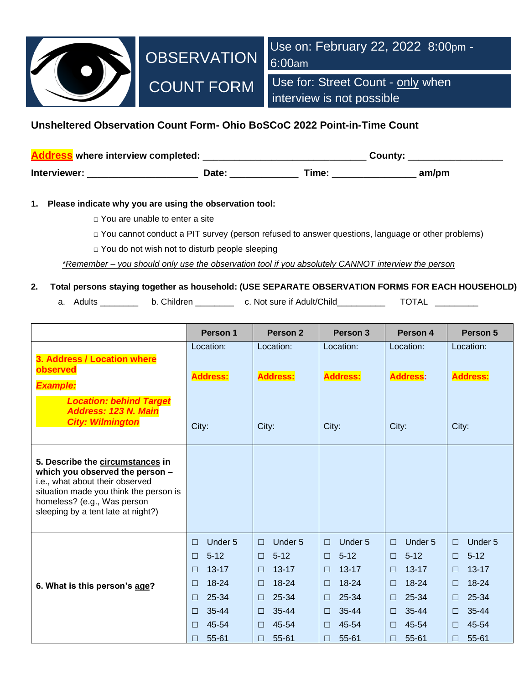

## **Unsheltered Observation Count Form- Ohio BoSCoC 2022 Point-in-Time Count**

| where interview completed: |       |       | Countv: |  |  |
|----------------------------|-------|-------|---------|--|--|
| Interviewer:               | Date: | "ime: | am/pm   |  |  |

## **1. Please indicate why you are using the observation tool:**

□ You are unable to enter a site

 $\Box$  You cannot conduct a PIT survey (person refused to answer questions, language or other problems)

□ You do not wish not to disturb people sleeping

*\*Remember – you should only use the observation tool if you absolutely CANNOT interview the person*

## **2. Total persons staying together as household: (USE SEPARATE OBSERVATION FORMS FOR EACH HOUSEHOLD)**

a. Adults \_\_\_\_\_\_\_\_ b. Children \_\_\_\_\_\_\_ c. Not sure if Adult/Child\_\_\_\_\_\_\_\_\_\_ TOTAL \_\_\_\_\_\_\_\_

|                                                                                                                                                                                                                       | Person 1                           | Person <sub>2</sub>                    | Person 3                               | Person 4                               | Person 5                           |
|-----------------------------------------------------------------------------------------------------------------------------------------------------------------------------------------------------------------------|------------------------------------|----------------------------------------|----------------------------------------|----------------------------------------|------------------------------------|
| 3. Address / Location where                                                                                                                                                                                           | Location:                          | Location:                              | Location:                              | Location:                              | Location:                          |
| observed<br><b>Example:</b>                                                                                                                                                                                           | <b>Address:</b>                    | <b>Address:</b>                        | <b>Address:</b>                        | <b>Address:</b>                        | <b>Address:</b>                    |
| <b>Location: behind Target</b><br><b>Address: 123 N. Main</b><br><b>City: Wilmington</b>                                                                                                                              | City:                              | City:                                  | City:                                  | City:                                  | City:                              |
| 5. Describe the circumstances in<br>which you observed the person -<br>i.e., what about their observed<br>situation made you think the person is<br>homeless? (e.g., Was person<br>sleeping by a tent late at night?) |                                    |                                        |                                        |                                        |                                    |
|                                                                                                                                                                                                                       | Under 5<br>$\Box$                  | Under 5<br>$\Box$                      | Under 5<br>$\Box$                      | Under 5<br>$\Box$                      | Under 5<br>$\Box$                  |
| 6. What is this person's age?                                                                                                                                                                                         | $5 - 12$<br>$\Box$                 | $5 - 12$<br>$\Box$                     | $5 - 12$<br>$\Box$                     | $5 - 12$<br>$\Box$                     | $5 - 12$<br>$\Box$                 |
|                                                                                                                                                                                                                       | $13 - 17$<br>$\Box$                | $13 - 17$<br>$\Box$                    | $13 - 17$<br>$\Box$                    | $13 - 17$<br>$\Box$                    | $13 - 17$<br>$\Box$                |
|                                                                                                                                                                                                                       | 18-24<br>$\Box$<br>25-34<br>$\Box$ | $18 - 24$<br>$\Box$<br>25-34<br>$\Box$ | $18 - 24$<br>$\Box$<br>25-34<br>$\Box$ | $18 - 24$<br>$\Box$<br>25-34<br>$\Box$ | 18-24<br>$\Box$<br>25-34<br>$\Box$ |
|                                                                                                                                                                                                                       | 35-44<br>$\Box$                    | 35-44<br>$\Box$                        | 35-44<br>$\Box$                        | 35-44<br>$\Box$                        | 35-44<br>$\Box$                    |
|                                                                                                                                                                                                                       | 45-54<br>$\Box$                    | 45-54<br>$\Box$                        | 45-54<br>$\Box$                        | 45-54<br>$\Box$                        | 45-54<br>$\Box$                    |
|                                                                                                                                                                                                                       | 55-61<br>$\Box$                    | 55-61<br>$\Box$                        | 55-61<br>$\Box$                        | $55 - 61$<br>$\Box$                    | $55 - 61$<br>$\Box$                |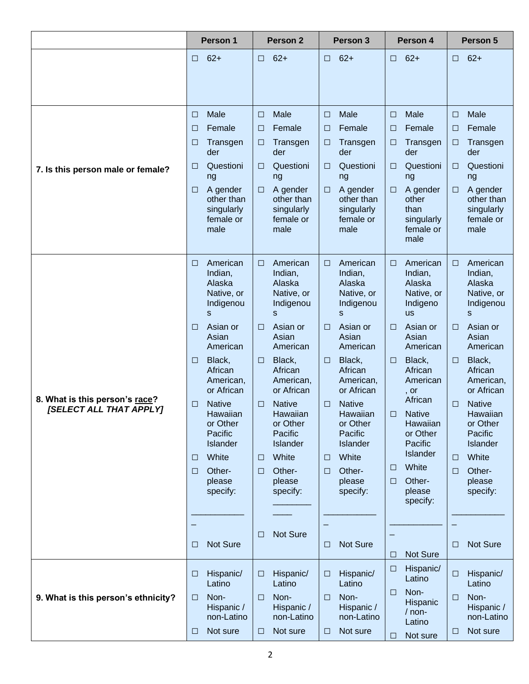|                                                           | Person 1                                                                                                                                                                                                                                                                                             | Person <sub>2</sub>                                                                                                                                                                                                                                                                                       | Person 3                                                                                                                                                                                                                                                                                                       | Person 4                                                                                                                                                                                                                                                                                                        | Person 5                                                                                                                                                                                                                                                                                                          |
|-----------------------------------------------------------|------------------------------------------------------------------------------------------------------------------------------------------------------------------------------------------------------------------------------------------------------------------------------------------------------|-----------------------------------------------------------------------------------------------------------------------------------------------------------------------------------------------------------------------------------------------------------------------------------------------------------|----------------------------------------------------------------------------------------------------------------------------------------------------------------------------------------------------------------------------------------------------------------------------------------------------------------|-----------------------------------------------------------------------------------------------------------------------------------------------------------------------------------------------------------------------------------------------------------------------------------------------------------------|-------------------------------------------------------------------------------------------------------------------------------------------------------------------------------------------------------------------------------------------------------------------------------------------------------------------|
|                                                           | $62+$<br>$\Box$                                                                                                                                                                                                                                                                                      | $62+$<br>$\Box$                                                                                                                                                                                                                                                                                           | $62+$<br>$\Box$                                                                                                                                                                                                                                                                                                | $62+$<br>$\Box$                                                                                                                                                                                                                                                                                                 | $62+$<br>$\Box$                                                                                                                                                                                                                                                                                                   |
| 7. Is this person male or female?                         | Male<br>П<br>Female<br>П<br>Transgen<br>$\Box$<br>der<br>Questioni<br>Ш<br>ng<br>A gender<br>Ш<br>other than<br>singularly<br>female or<br>male                                                                                                                                                      | Male<br>$\Box$<br>Female<br>П<br>Transgen<br>$\Box$<br>der<br>Questioni<br>□<br>ng<br>A gender<br>⊔<br>other than<br>singularly<br>female or<br>male                                                                                                                                                      | Male<br>$\Box$<br>Female<br>$\Box$<br>Transgen<br>$\Box$<br>der<br>Questioni<br>$\Box$<br>ng<br>A gender<br>$\Box$<br>other than<br>singularly<br>female or<br>male                                                                                                                                            | Male<br>$\Box$<br>Female<br>$\Box$<br>Transgen<br>$\Box$<br>der<br>Questioni<br>$\Box$<br>ng<br>A gender<br>П<br>other<br>than<br>singularly<br>female or<br>male                                                                                                                                               | Male<br>$\Box$<br>Female<br>$\Box$<br>Transgen<br>$\Box$<br>der<br>Questioni<br>□<br>ng<br>A gender<br>$\Box$<br>other than<br>singularly<br>female or<br>male                                                                                                                                                    |
| 8. What is this person's race?<br>[SELECT ALL THAT APPLY] | American<br>П<br>Indian,<br>Alaska<br>Native, or<br>Indigenou<br>S<br>Asian or<br>П<br>Asian<br>American<br>Black,<br>Ш<br>African<br>American,<br>or African<br><b>Native</b><br>$\Box$<br>Hawaiian<br>or Other<br>Pacific<br>Islander<br>White<br>$\Box$<br>Other-<br>$\Box$<br>please<br>specify: | American<br>$\Box$<br>Indian,<br>Alaska<br>Native, or<br>Indigenou<br>S<br>Asian or<br>$\Box$<br>Asian<br>American<br>Black,<br>□<br>African<br>American,<br>or African<br><b>Native</b><br>$\Box$<br>Hawaiian<br>or Other<br>Pacific<br>Islander<br>White<br>□<br>Other-<br>$\Box$<br>please<br>specify: | American<br>$\Box$<br>Indian,<br>Alaska<br>Native, or<br>Indigenou<br>S<br>Asian or<br>$\Box$<br>Asian<br>American<br>Black,<br>□<br>African<br>American,<br>or African<br><b>Native</b><br>$\Box$<br>Hawaiian<br>or Other<br>Pacific<br>Islander<br>White<br>$\Box$<br>Other-<br>$\Box$<br>please<br>specify: | American<br>П<br>Indian,<br>Alaska<br>Native, or<br>Indigeno<br><b>us</b><br>Asian or<br>П<br>Asian<br>American<br>Black,<br>$\Box$<br>African<br>American<br>, or<br>African<br><b>Native</b><br>ш<br>Hawaiian<br>or Other<br>Pacific<br>Islander<br>White<br>$\Box$<br>Other-<br>$\Box$<br>please<br>specify: | American<br>$\Box$<br>Indian,<br>Alaska<br>Native, or<br>Indigenou<br>S.<br>Asian or<br>$\Box$<br>Asian<br>American<br>Black,<br>$\Box$<br>African<br>American,<br>or African<br><b>Native</b><br>□<br>Hawaiian<br>or Other<br>Pacific<br><b>Islander</b><br>White<br>□<br>Other-<br>$\Box$<br>please<br>specify: |
|                                                           | <b>Not Sure</b><br>П                                                                                                                                                                                                                                                                                 | <b>Not Sure</b><br>$\Box$                                                                                                                                                                                                                                                                                 | Not Sure<br>$\Box$                                                                                                                                                                                                                                                                                             | Not Sure<br>□                                                                                                                                                                                                                                                                                                   | Not Sure<br>□                                                                                                                                                                                                                                                                                                     |
| 9. What is this person's ethnicity?                       | Hispanic/<br>$\Box$<br>Latino<br>Non-<br>$\Box$<br>Hispanic /<br>non-Latino<br>Not sure<br>Ш                                                                                                                                                                                                         | Hispanic/<br>$\Box$<br>Latino<br>Non-<br>$\Box$<br>Hispanic /<br>non-Latino<br>Not sure<br>$\Box$                                                                                                                                                                                                         | Hispanic/<br>$\Box$<br>Latino<br>Non-<br>$\Box$<br>Hispanic /<br>non-Latino<br>Not sure<br>Ш                                                                                                                                                                                                                   | Hispanic/<br>$\Box$<br>Latino<br>Non-<br>$\Box$<br>Hispanic<br>$/$ non-<br>Latino<br>Not sure<br>□                                                                                                                                                                                                              | Hispanic/<br>□<br>Latino<br>Non-<br>$\Box$<br>Hispanic /<br>non-Latino<br>Not sure<br>⊔                                                                                                                                                                                                                           |